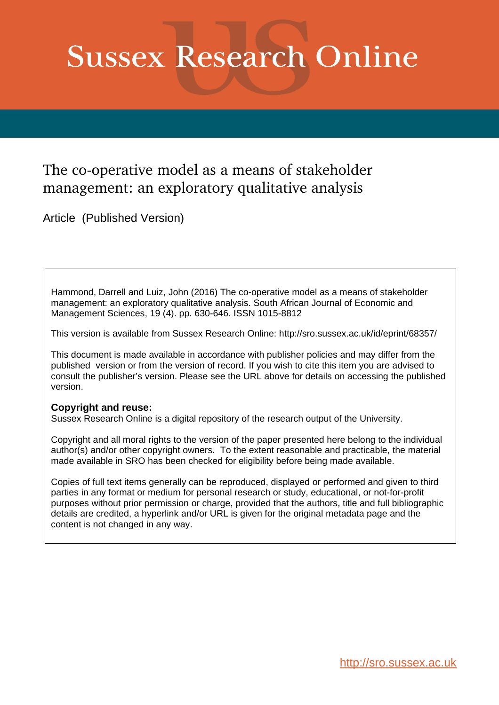# **Sussex Research Online**

# The co-operative model as a means of stakeholder management: an exploratory qualitative analysis

Article (Published Version)

Hammond, Darrell and Luiz, John (2016) The co-operative model as a means of stakeholder management: an exploratory qualitative analysis. South African Journal of Economic and Management Sciences, 19 (4). pp. 630-646. ISSN 1015-8812

This version is available from Sussex Research Online: http://sro.sussex.ac.uk/id/eprint/68357/

This document is made available in accordance with publisher policies and may differ from the published version or from the version of record. If you wish to cite this item you are advised to consult the publisher's version. Please see the URL above for details on accessing the published version.

# **Copyright and reuse:**

Sussex Research Online is a digital repository of the research output of the University.

Copyright and all moral rights to the version of the paper presented here belong to the individual author(s) and/or other copyright owners. To the extent reasonable and practicable, the material made available in SRO has been checked for eligibility before being made available.

Copies of full text items generally can be reproduced, displayed or performed and given to third parties in any format or medium for personal research or study, educational, or not-for-profit purposes without prior permission or charge, provided that the authors, title and full bibliographic details are credited, a hyperlink and/or URL is given for the original metadata page and the content is not changed in any way.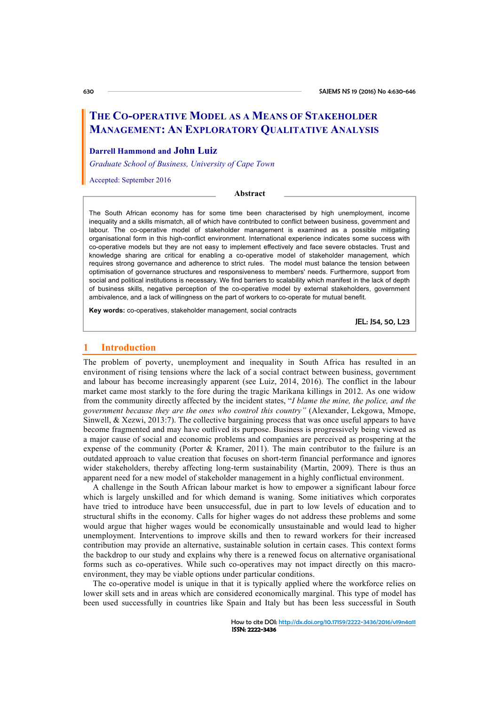# **THE CO-OPERATIVE MODEL AS A MEANS OF STAKEHOLDER MANAGEMENT: AN EXPLORATORY QUALITATIVE ANALYSIS**

# **Darrell Hammond and John Luiz**

*Graduate School of Business, University of Cape Town*

Accepted: September 2016

#### **Abstract**

The South African economy has for some time been characterised by high unemployment, income inequality and a skills mismatch, all of which have contributed to conflict between business, government and labour. The co-operative model of stakeholder management is examined as a possible mitigating organisational form in this high-conflict environment. International experience indicates some success with co-operative models but they are not easy to implement effectively and face severe obstacles. Trust and knowledge sharing are critical for enabling a co-operative model of stakeholder management, which requires strong governance and adherence to strict rules. The model must balance the tension between optimisation of governance structures and responsiveness to members' needs. Furthermore, support from social and political institutions is necessary. We find barriers to scalability which manifest in the lack of depth of business skills, negative perception of the co-operative model by external stakeholders, government ambivalence, and a lack of willingness on the part of workers to co-operate for mutual benefit.

**Key words:** co-operatives, stakeholder management, social contracts

JEL: J54, 50, L23

#### **1 Introduction**

The problem of poverty, unemployment and inequality in South Africa has resulted in an environment of rising tensions where the lack of a social contract between business, government and labour has become increasingly apparent (see Luiz, 2014, 2016). The conflict in the labour market came most starkly to the fore during the tragic Marikana killings in 2012. As one widow from the community directly affected by the incident states, "*I blame the mine, the police, and the government because they are the ones who control this country"* (Alexander, Lekgowa, Mmope, Sinwell,  $\&$  Xezwi, 2013:7). The collective bargaining process that was once useful appears to have become fragmented and may have outlived its purpose. Business is progressively being viewed as a major cause of social and economic problems and companies are perceived as prospering at the expense of the community (Porter & Kramer, 2011). The main contributor to the failure is an outdated approach to value creation that focuses on short-term financial performance and ignores wider stakeholders, thereby affecting long-term sustainability (Martin, 2009). There is thus an apparent need for a new model of stakeholder management in a highly conflictual environment.

A challenge in the South African labour market is how to empower a significant labour force which is largely unskilled and for which demand is waning. Some initiatives which corporates have tried to introduce have been unsuccessful, due in part to low levels of education and to structural shifts in the economy. Calls for higher wages do not address these problems and some would argue that higher wages would be economically unsustainable and would lead to higher unemployment. Interventions to improve skills and then to reward workers for their increased contribution may provide an alternative, sustainable solution in certain cases. This context forms the backdrop to our study and explains why there is a renewed focus on alternative organisational forms such as co-operatives. While such co-operatives may not impact directly on this macroenvironment, they may be viable options under particular conditions.

The co-operative model is unique in that it is typically applied where the workforce relies on lower skill sets and in areas which are considered economically marginal. This type of model has been used successfully in countries like Spain and Italy but has been less successful in South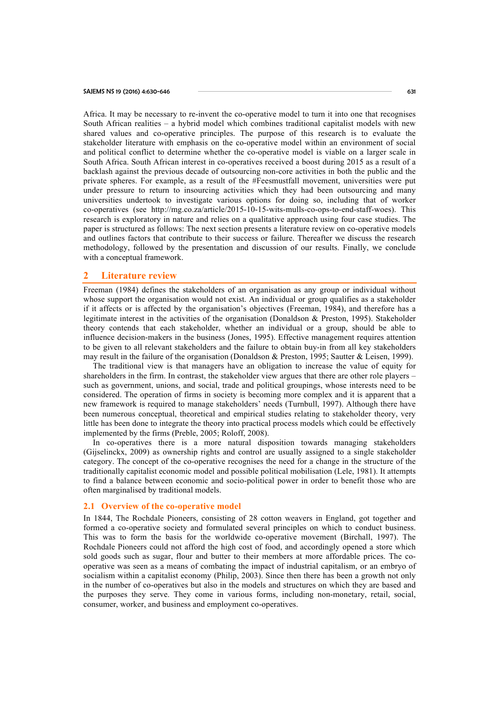#### SAJEMS NS 19 (2016) 4:630-646 **631** - **Canadian Community Community Community** 631

Africa. It may be necessary to re-invent the co-operative model to turn it into one that recognises South African realities – a hybrid model which combines traditional capitalist models with new shared values and co-operative principles. The purpose of this research is to evaluate the stakeholder literature with emphasis on the co-operative model within an environment of social and political conflict to determine whether the co-operative model is viable on a larger scale in South Africa. South African interest in co-operatives received a boost during 2015 as a result of a backlash against the previous decade of outsourcing non-core activities in both the public and the private spheres. For example, as a result of the #Feesmustfall movement, universities were put under pressure to return to insourcing activities which they had been outsourcing and many universities undertook to investigate various options for doing so, including that of worker co-operatives (see http://mg.co.za/article/2015-10-15-wits-mulls-co-ops-to-end-staff-woes). This research is exploratory in nature and relies on a qualitative approach using four case studies. The paper is structured as follows: The next section presents a literature review on co-operative models and outlines factors that contribute to their success or failure. Thereafter we discuss the research methodology, followed by the presentation and discussion of our results. Finally, we conclude with a conceptual framework.

#### **2 Literature review**

Freeman (1984) defines the stakeholders of an organisation as any group or individual without whose support the organisation would not exist. An individual or group qualifies as a stakeholder if it affects or is affected by the organisation's objectives (Freeman, 1984), and therefore has a legitimate interest in the activities of the organisation (Donaldson & Preston, 1995). Stakeholder theory contends that each stakeholder, whether an individual or a group, should be able to influence decision-makers in the business (Jones, 1995). Effective management requires attention to be given to all relevant stakeholders and the failure to obtain buy-in from all key stakeholders may result in the failure of the organisation (Donaldson & Preston, 1995; Sautter & Leisen, 1999).

The traditional view is that managers have an obligation to increase the value of equity for shareholders in the firm. In contrast, the stakeholder view argues that there are other role players – such as government, unions, and social, trade and political groupings, whose interests need to be considered. The operation of firms in society is becoming more complex and it is apparent that a new framework is required to manage stakeholders' needs (Turnbull, 1997). Although there have been numerous conceptual, theoretical and empirical studies relating to stakeholder theory, very little has been done to integrate the theory into practical process models which could be effectively implemented by the firms (Preble, 2005; Roloff, 2008).

In co-operatives there is a more natural disposition towards managing stakeholders (Gijselinckx, 2009) as ownership rights and control are usually assigned to a single stakeholder category. The concept of the co-operative recognises the need for a change in the structure of the traditionally capitalist economic model and possible political mobilisation (Lele, 1981). It attempts to find a balance between economic and socio-political power in order to benefit those who are often marginalised by traditional models.

#### **2.1 Overview of the co-operative model**

In 1844, The Rochdale Pioneers, consisting of 28 cotton weavers in England, got together and formed a co-operative society and formulated several principles on which to conduct business. This was to form the basis for the worldwide co-operative movement (Birchall, 1997). The Rochdale Pioneers could not afford the high cost of food, and accordingly opened a store which sold goods such as sugar, flour and butter to their members at more affordable prices. The cooperative was seen as a means of combating the impact of industrial capitalism, or an embryo of socialism within a capitalist economy (Philip, 2003). Since then there has been a growth not only in the number of co-operatives but also in the models and structures on which they are based and the purposes they serve. They come in various forms, including non-monetary, retail, social, consumer, worker, and business and employment co-operatives.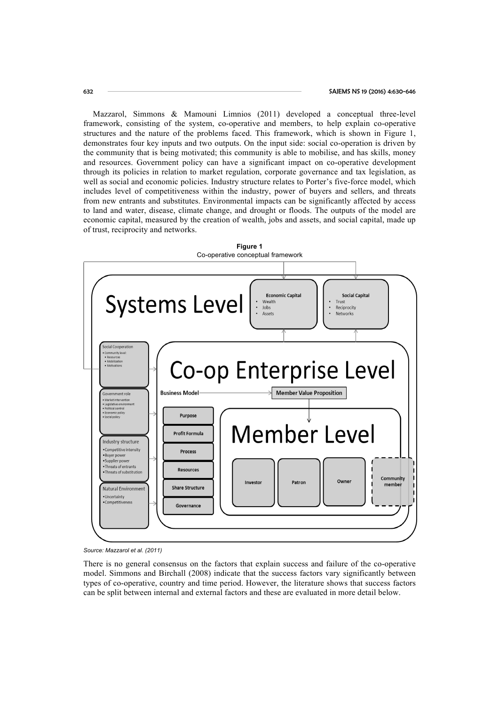Mazzarol, Simmons & Mamouni Limnios (2011) developed a conceptual three-level framework, consisting of the system, co-operative and members, to help explain co-operative structures and the nature of the problems faced. This framework, which is shown in Figure 1, demonstrates four key inputs and two outputs. On the input side: social co-operation is driven by the community that is being motivated; this community is able to mobilise, and has skills, money and resources. Government policy can have a significant impact on co-operative development through its policies in relation to market regulation, corporate governance and tax legislation, as well as social and economic policies. Industry structure relates to Porter's five-force model, which includes level of competitiveness within the industry, power of buyers and sellers, and threats from new entrants and substitutes. Environmental impacts can be significantly affected by access to land and water, disease, climate change, and drought or floods. The outputs of the model are economic capital, measured by the creation of wealth, jobs and assets, and social capital, made up of trust, reciprocity and networks.



*Source: Mazzarol et al. (2011)*

There is no general consensus on the factors that explain success and failure of the co-operative model. Simmons and Birchall (2008) indicate that the success factors vary significantly between types of co-operative, country and time period. However, the literature shows that success factors can be split between internal and external factors and these are evaluated in more detail below.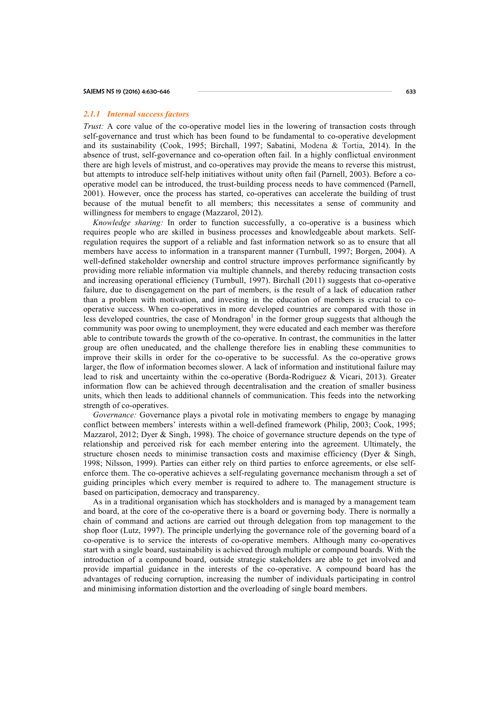#### SAJEMS NS 19 (2016) 4:630-646 **633**<br> **SAJEMS NS 19 (2016) 4:630-646 633**

#### *2.1.1 Internal success factors*

*Trust:* A core value of the co-operative model lies in the lowering of transaction costs through self-governance and trust which has been found to be fundamental to co-operative development and its sustainability (Cook, 1995; Birchall, 1997; Sabatini, Modena & Tortia, 2014). In the absence of trust, self-governance and co-operation often fail. In a highly conflictual environment there are high levels of mistrust, and co-operatives may provide the means to reverse this mistrust, but attempts to introduce self-help initiatives without unity often fail (Parnell, 2003). Before a cooperative model can be introduced, the trust-building process needs to have commenced (Parnell, 2001). However, once the process has started, co-operatives can accelerate the building of trust because of the mutual benefit to all members; this necessitates a sense of community and willingness for members to engage (Mazzarol, 2012).

*Knowledge sharing:* In order to function successfully, a co-operative is a business which requires people who are skilled in business processes and knowledgeable about markets. Selfregulation requires the support of a reliable and fast information network so as to ensure that all members have access to information in a transparent manner (Turnbull, 1997; Borgen, 2004). A well-defined stakeholder ownership and control structure improves performance significantly by providing more reliable information via multiple channels, and thereby reducing transaction costs and increasing operational efficiency (Turnbull, 1997). Birchall (2011) suggests that co-operative failure, due to disengagement on the part of members, is the result of a lack of education rather than a problem with motivation, and investing in the education of members is crucial to cooperative success. When co-operatives in more developed countries are compared with those in less developed countries, the case of Mondragon<sup>1</sup> in the former group suggests that although the community was poor owing to unemployment, they were educated and each member was therefore able to contribute towards the growth of the co-operative. In contrast, the communities in the latter group are often uneducated, and the challenge therefore lies in enabling these communities to improve their skills in order for the co-operative to be successful. As the co-operative grows larger, the flow of information becomes slower. A lack of information and institutional failure may lead to risk and uncertainty within the co-operative (Borda-Rodriguez & Vicari, 2013). Greater information flow can be achieved through decentralisation and the creation of smaller business units, which then leads to additional channels of communication. This feeds into the networking strength of co-operatives.

*Governance:* Governance plays a pivotal role in motivating members to engage by managing conflict between members' interests within a well-defined framework (Philip, 2003; Cook, 1995; Mazzarol, 2012; Dyer & Singh, 1998). The choice of governance structure depends on the type of relationship and perceived risk for each member entering into the agreement. Ultimately, the structure chosen needs to minimise transaction costs and maximise efficiency (Dyer & Singh, 1998; Nilsson, 1999). Parties can either rely on third parties to enforce agreements, or else selfenforce them. The co-operative achieves a self-regulating governance mechanism through a set of guiding principles which every member is required to adhere to. The management structure is based on participation, democracy and transparency.

As in a traditional organisation which has stockholders and is managed by a management team and board, at the core of the co-operative there is a board or governing body. There is normally a chain of command and actions are carried out through delegation from top management to the shop floor (Lutz, 1997). The principle underlying the governance role of the governing board of a co-operative is to service the interests of co-operative members. Although many co-operatives start with a single board, sustainability is achieved through multiple or compound boards. With the introduction of a compound board, outside strategic stakeholders are able to get involved and provide impartial guidance in the interests of the co-operative. A compound board has the advantages of reducing corruption, increasing the number of individuals participating in control and minimising information distortion and the overloading of single board members.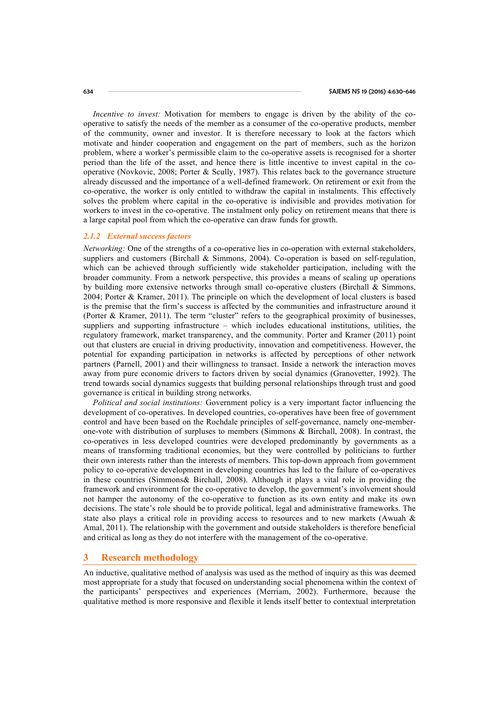*Incentive to invest:* Motivation for members to engage is driven by the ability of the cooperative to satisfy the needs of the member as a consumer of the co-operative products, member of the community, owner and investor. It is therefore necessary to look at the factors which motivate and hinder cooperation and engagement on the part of members, such as the horizon problem, where a worker's permissible claim to the co-operative assets is recognised for a shorter period than the life of the asset, and hence there is little incentive to invest capital in the cooperative (Novkovic, 2008; Porter & Scully, 1987). This relates back to the governance structure already discussed and the importance of a well-defined framework. On retirement or exit from the co-operative, the worker is only entitled to withdraw the capital in instalments. This effectively solves the problem where capital in the co-operative is indivisible and provides motivation for workers to invest in the co-operative. The instalment only policy on retirement means that there is a large capital pool from which the co-operative can draw funds for growth.

#### *2.1.2 External success factors*

*Networking:* One of the strengths of a co-operative lies in co-operation with external stakeholders, suppliers and customers (Birchall & Simmons, 2004). Co-operation is based on self-regulation, which can be achieved through sufficiently wide stakeholder participation, including with the broader community. From a network perspective, this provides a means of scaling up operations by building more extensive networks through small co-operative clusters (Birchall & Simmons, 2004; Porter & Kramer, 2011). The principle on which the development of local clusters is based is the premise that the firm's success is affected by the communities and infrastructure around it (Porter & Kramer, 2011). The term "cluster" refers to the geographical proximity of businesses, suppliers and supporting infrastructure – which includes educational institutions, utilities, the regulatory framework, market transparency, and the community. Porter and Kramer (2011) point out that clusters are crucial in driving productivity, innovation and competitiveness. However, the potential for expanding participation in networks is affected by perceptions of other network partners (Parnell, 2001) and their willingness to transact. Inside a network the interaction moves away from pure economic drivers to factors driven by social dynamics (Granovetter, 1992). The trend towards social dynamics suggests that building personal relationships through trust and good governance is critical in building strong networks.

*Political and social institutions:* Government policy is a very important factor influencing the development of co-operatives. In developed countries, co-operatives have been free of government control and have been based on the Rochdale principles of self-governance, namely one-memberone-vote with distribution of surpluses to members (Simmons & Birchall, 2008). In contrast, the co-operatives in less developed countries were developed predominantly by governments as a means of transforming traditional economies, but they were controlled by politicians to further their own interests rather than the interests of members. This top-down approach from government policy to co-operative development in developing countries has led to the failure of co-operatives in these countries (Simmons& Birchall, 2008). Although it plays a vital role in providing the framework and environment for the co-operative to develop, the government's involvement should not hamper the autonomy of the co-operative to function as its own entity and make its own decisions. The state's role should be to provide political, legal and administrative frameworks. The state also plays a critical role in providing access to resources and to new markets (Awuah  $\&$ Amal, 2011). The relationship with the government and outside stakeholders is therefore beneficial and critical as long as they do not interfere with the management of the co-operative.

#### **3 Research methodology**

An inductive, qualitative method of analysis was used as the method of inquiry as this was deemed most appropriate for a study that focused on understanding social phenomena within the context of the participants' perspectives and experiences (Merriam, 2002). Furthermore, because the qualitative method is more responsive and flexible it lends itself better to contextual interpretation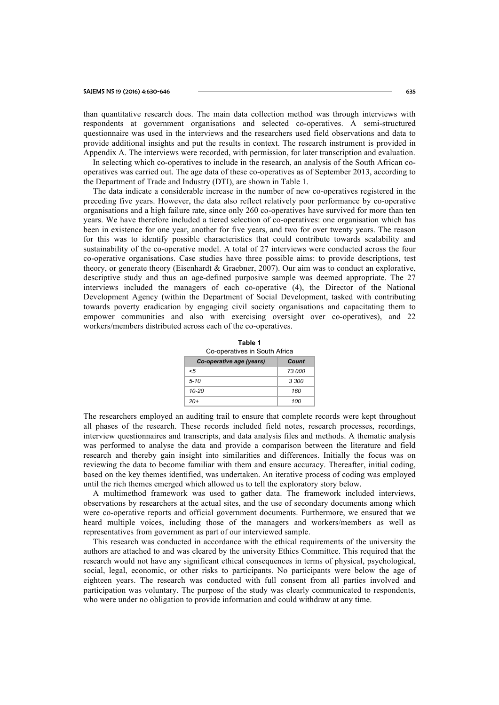#### SAJEMS NS 19 (2016) 4:630-646 **635 FOR 19 (2016)** 4:630-646

than quantitative research does. The main data collection method was through interviews with respondents at government organisations and selected co-operatives. A semi-structured questionnaire was used in the interviews and the researchers used field observations and data to provide additional insights and put the results in context. The research instrument is provided in Appendix A. The interviews were recorded, with permission, for later transcription and evaluation.

In selecting which co-operatives to include in the research, an analysis of the South African cooperatives was carried out. The age data of these co-operatives as of September 2013, according to the Department of Trade and Industry (DTI), are shown in Table 1.

The data indicate a considerable increase in the number of new co-operatives registered in the preceding five years. However, the data also reflect relatively poor performance by co-operative organisations and a high failure rate, since only 260 co-operatives have survived for more than ten years. We have therefore included a tiered selection of co-operatives: one organisation which has been in existence for one year, another for five years, and two for over twenty years. The reason for this was to identify possible characteristics that could contribute towards scalability and sustainability of the co-operative model. A total of 27 interviews were conducted across the four co-operative organisations. Case studies have three possible aims: to provide descriptions, test theory, or generate theory (Eisenhardt & Graebner, 2007). Our aim was to conduct an explorative, descriptive study and thus an age-defined purposive sample was deemed appropriate. The 27 interviews included the managers of each co-operative (4), the Director of the National Development Agency (within the Department of Social Development, tasked with contributing towards poverty eradication by engaging civil society organisations and capacitating them to empower communities and also with exercising oversight over co-operatives), and 22 workers/members distributed across each of the co-operatives.

| Table 1                       |
|-------------------------------|
| Co-operatives in South Africa |

| Co-operative age (years) | Count  |
|--------------------------|--------|
| $<$ 5                    | 73 000 |
| $5 - 10$                 | 3.300  |
| $10 - 20$                | 160    |
| 20+                      | 100    |

The researchers employed an auditing trail to ensure that complete records were kept throughout all phases of the research. These records included field notes, research processes, recordings, interview questionnaires and transcripts, and data analysis files and methods. A thematic analysis was performed to analyse the data and provide a comparison between the literature and field research and thereby gain insight into similarities and differences. Initially the focus was on reviewing the data to become familiar with them and ensure accuracy. Thereafter, initial coding, based on the key themes identified, was undertaken. An iterative process of coding was employed until the rich themes emerged which allowed us to tell the exploratory story below.

A multimethod framework was used to gather data. The framework included interviews, observations by researchers at the actual sites, and the use of secondary documents among which were co-operative reports and official government documents. Furthermore, we ensured that we heard multiple voices, including those of the managers and workers/members as well as representatives from government as part of our interviewed sample.

This research was conducted in accordance with the ethical requirements of the university the authors are attached to and was cleared by the university Ethics Committee. This required that the research would not have any significant ethical consequences in terms of physical, psychological, social, legal, economic, or other risks to participants. No participants were below the age of eighteen years. The research was conducted with full consent from all parties involved and participation was voluntary. The purpose of the study was clearly communicated to respondents, who were under no obligation to provide information and could withdraw at any time.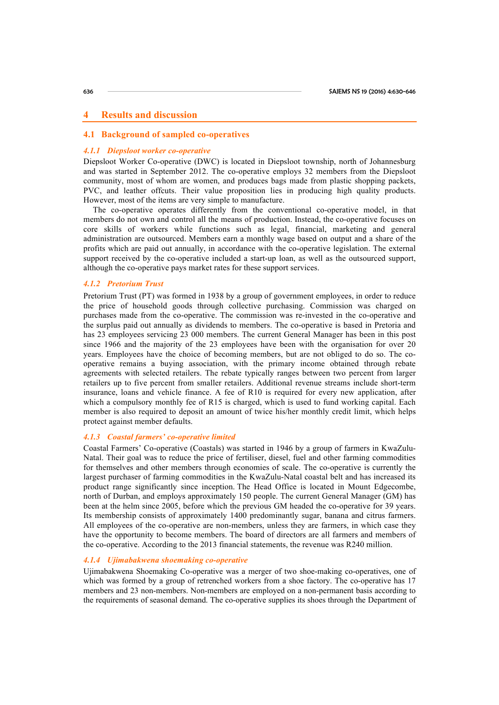# **4 Results and discussion**

### **4.1 Background of sampled co-operatives**

# *4.1.1 Diepsloot worker co-operative*

Diepsloot Worker Co-operative (DWC) is located in Diepsloot township, north of Johannesburg and was started in September 2012. The co-operative employs 32 members from the Diepsloot community, most of whom are women, and produces bags made from plastic shopping packets, PVC, and leather offcuts. Their value proposition lies in producing high quality products. However, most of the items are very simple to manufacture.

The co-operative operates differently from the conventional co-operative model, in that members do not own and control all the means of production. Instead, the co-operative focuses on core skills of workers while functions such as legal, financial, marketing and general administration are outsourced. Members earn a monthly wage based on output and a share of the profits which are paid out annually, in accordance with the co-operative legislation. The external support received by the co-operative included a start-up loan, as well as the outsourced support, although the co-operative pays market rates for these support services.

#### *4.1.2 Pretorium Trust*

Pretorium Trust (PT) was formed in 1938 by a group of government employees, in order to reduce the price of household goods through collective purchasing. Commission was charged on purchases made from the co-operative. The commission was re-invested in the co-operative and the surplus paid out annually as dividends to members. The co-operative is based in Pretoria and has 23 employees servicing 23 000 members. The current General Manager has been in this post since 1966 and the majority of the 23 employees have been with the organisation for over 20 years. Employees have the choice of becoming members, but are not obliged to do so. The cooperative remains a buying association, with the primary income obtained through rebate agreements with selected retailers. The rebate typically ranges between two percent from larger retailers up to five percent from smaller retailers. Additional revenue streams include short-term insurance, loans and vehicle finance. A fee of R10 is required for every new application, after which a compulsory monthly fee of R15 is charged, which is used to fund working capital. Each member is also required to deposit an amount of twice his/her monthly credit limit, which helps protect against member defaults.

#### *4.1.3 Coastal farmers' co-operative limited*

Coastal Farmers' Co-operative (Coastals) was started in 1946 by a group of farmers in KwaZulu-Natal. Their goal was to reduce the price of fertiliser, diesel, fuel and other farming commodities for themselves and other members through economies of scale. The co-operative is currently the largest purchaser of farming commodities in the KwaZulu-Natal coastal belt and has increased its product range significantly since inception. The Head Office is located in Mount Edgecombe, north of Durban, and employs approximately 150 people. The current General Manager (GM) has been at the helm since 2005, before which the previous GM headed the co-operative for 39 years. Its membership consists of approximately 1400 predominantly sugar, banana and citrus farmers. All employees of the co-operative are non-members, unless they are farmers, in which case they have the opportunity to become members. The board of directors are all farmers and members of the co-operative. According to the 2013 financial statements, the revenue was R240 million.

#### *4.1.4 Ujimabakwena shoemaking co-operative*

Ujimabakwena Shoemaking Co-operative was a merger of two shoe-making co-operatives, one of which was formed by a group of retrenched workers from a shoe factory. The co-operative has 17 members and 23 non-members. Non-members are employed on a non-permanent basis according to the requirements of seasonal demand. The co-operative supplies its shoes through the Department of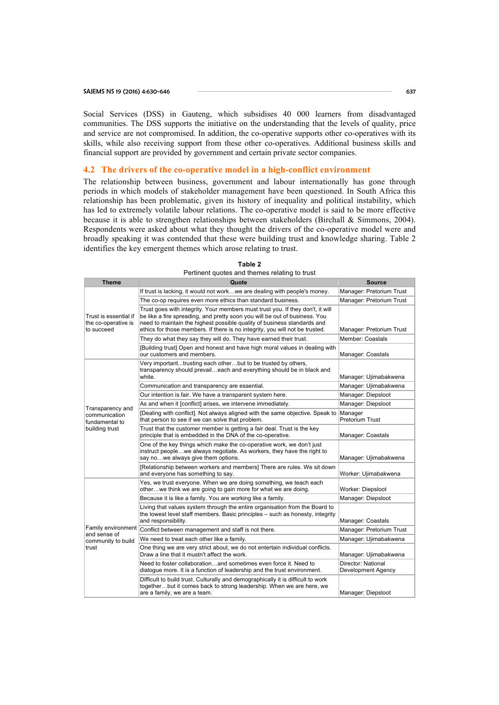#### SAJEMS NS 19 (2016) 4:630-646 637

Social Services (DSS) in Gauteng, which subsidises 40 000 learners from disadvantaged communities. The DSS supports the initiative on the understanding that the levels of quality, price and service are not compromised. In addition, the co-operative supports other co-operatives with its skills, while also receiving support from these other co-operatives. Additional business skills and financial support are provided by government and certain private sector companies.

# **4.2 The drivers of the co-operative model in a high-conflict environment**

The relationship between business, government and labour internationally has gone through periods in which models of stakeholder management have been questioned. In South Africa this relationship has been problematic, given its history of inequality and political instability, which has led to extremely volatile labour relations. The co-operative model is said to be more effective because it is able to strengthen relationships between stakeholders (Birchall & Simmons, 2004). Respondents were asked about what they thought the drivers of the co-operative model were and broadly speaking it was contended that these were building trust and knowledge sharing. Table 2 identifies the key emergent themes which arose relating to trust.

| <b>Theme</b>                                               | Quote                                                                                                                                                                                                                                                                                                                   | <b>Source</b>                            |
|------------------------------------------------------------|-------------------------------------------------------------------------------------------------------------------------------------------------------------------------------------------------------------------------------------------------------------------------------------------------------------------------|------------------------------------------|
| Trust is essential if<br>the co-operative is<br>to succeed | If trust is lacking, it would not workwe are dealing with people's money.                                                                                                                                                                                                                                               | Manager: Pretorium Trust                 |
|                                                            | The co-op requires even more ethics than standard business.                                                                                                                                                                                                                                                             | Manager: Pretorium Trust                 |
|                                                            | Trust goes with integrity. Your members must trust you. If they don't, it will<br>be like a fire spreading, and pretty soon you will be out of business. You<br>need to maintain the highest possible quality of business standards and<br>ethics for those members. If there is no integrity, you will not be trusted. | Manager: Pretorium Trust                 |
|                                                            | They do what they say they will do. They have earned their trust.                                                                                                                                                                                                                                                       | Member: Coastals                         |
|                                                            | [Building trust] Open and honest and have high moral values in dealing with<br>our customers and members.                                                                                                                                                                                                               | Manager: Coastals                        |
|                                                            | Very importanttrusting each otherbut to be trusted by others,<br>transparency should prevaileach and everything should be in black and<br>white.                                                                                                                                                                        | Manager: Ujimabakwena                    |
|                                                            | Communication and transparency are essential.                                                                                                                                                                                                                                                                           | Manager: Ujimabakwena                    |
|                                                            | Our intention is fair. We have a transparent system here.                                                                                                                                                                                                                                                               | Manager: Diepsloot                       |
|                                                            | As and when it [conflict] arises, we intervene immediately.                                                                                                                                                                                                                                                             | Manager: Diepsloot                       |
| Transparency and<br>communication<br>fundamental to        | [Dealing with conflict]. Not always aligned with the same objective. Speak to<br>that person to see if we can solve that problem.                                                                                                                                                                                       | Manager<br>Pretorium Trust               |
| building trust                                             | Trust that the customer member is getting a fair deal. Trust is the key<br>principle that is embedded in the DNA of the co-operative.                                                                                                                                                                                   | Manager: Coastals                        |
|                                                            | One of the key things which make the co-operative work, we don't just<br>instruct peoplewe always negotiate. As workers, they have the right to<br>say nowe always give them options.                                                                                                                                   | Manager: Ujimabakwena                    |
|                                                            | [Relationship between workers and members] There are rules. We sit down<br>and everyone has something to say.                                                                                                                                                                                                           | Worker: Ujimabakwena                     |
|                                                            | Yes, we trust everyone. When we are doing something, we teach each<br>otherwe think we are going to gain more for what we are doing.                                                                                                                                                                                    | Worker: Diepsloot                        |
|                                                            | Because it is like a family. You are working like a family.                                                                                                                                                                                                                                                             | Manager: Diepsloot                       |
|                                                            | Living that values system through the entire organisation from the Board to<br>the lowest level staff members. Basic principles - such as honesty, integrity<br>and responsibility.                                                                                                                                     | Manager: Coastals                        |
| Family environment<br>and sense of                         | Conflict between management and staff is not there.                                                                                                                                                                                                                                                                     | Manager: Pretorium Trust                 |
| community to build                                         | We need to treat each other like a family.                                                                                                                                                                                                                                                                              | Manager: Ujimabakwena                    |
| trust                                                      | One thing we are very strict about, we do not entertain individual conflicts.<br>Draw a line that it mustn't affect the work.                                                                                                                                                                                           | Manager: Ujimabakwena                    |
|                                                            | Need to foster collaborationand sometimes even force it. Need to<br>dialogue more. It is a function of leadership and the trust environment.                                                                                                                                                                            | Director: National<br>Development Agency |
|                                                            | Difficult to build trust. Culturally and demographically it is difficult to work<br>togetherbut it comes back to strong leadership. When we are here, we<br>are a family, we are a team.                                                                                                                                | Manager: Diepsloot                       |

#### **Table 2** Pertinent quotes and themes relating to trust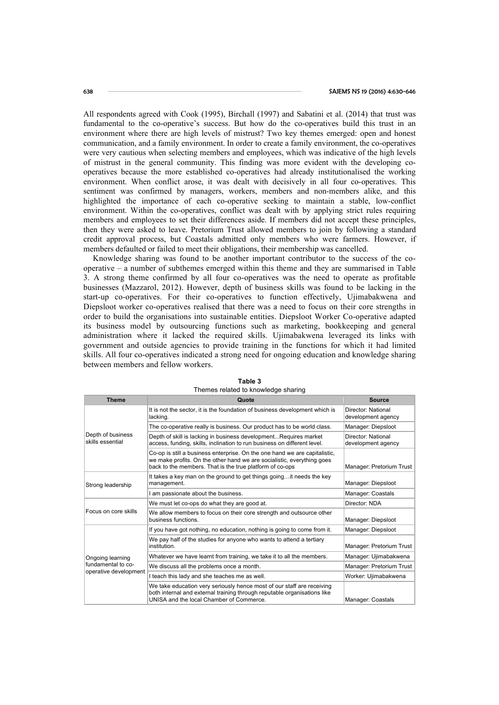All respondents agreed with Cook (1995), Birchall (1997) and Sabatini et al. (2014) that trust was fundamental to the co-operative's success. But how do the co-operatives build this trust in an environment where there are high levels of mistrust? Two key themes emerged: open and honest communication, and a family environment. In order to create a family environment, the co-operatives were very cautious when selecting members and employees, which was indicative of the high levels of mistrust in the general community. This finding was more evident with the developing cooperatives because the more established co-operatives had already institutionalised the working environment. When conflict arose, it was dealt with decisively in all four co-operatives. This sentiment was confirmed by managers, workers, members and non-members alike, and this highlighted the importance of each co-operative seeking to maintain a stable, low-conflict environment. Within the co-operatives, conflict was dealt with by applying strict rules requiring members and employees to set their differences aside. If members did not accept these principles, then they were asked to leave. Pretorium Trust allowed members to join by following a standard credit approval process, but Coastals admitted only members who were farmers. However, if members defaulted or failed to meet their obligations, their membership was cancelled.

Knowledge sharing was found to be another important contributor to the success of the cooperative – a number of subthemes emerged within this theme and they are summarised in Table 3. A strong theme confirmed by all four co-operatives was the need to operate as profitable businesses (Mazzarol, 2012). However, depth of business skills was found to be lacking in the start-up co-operatives. For their co-operatives to function effectively, Ujimabakwena and Diepsloot worker co-operatives realised that there was a need to focus on their core strengths in order to build the organisations into sustainable entities. Diepsloot Worker Co-operative adapted its business model by outsourcing functions such as marketing, bookkeeping and general administration where it lacked the required skills. Ujimabakwena leveraged its links with government and outside agencies to provide training in the functions for which it had limited skills. All four co-operatives indicated a strong need for ongoing education and knowledge sharing between members and fellow workers.

| <b>Theme</b>                                | Quote                                                                                                                                                                                                            | <b>Source</b>                            |
|---------------------------------------------|------------------------------------------------------------------------------------------------------------------------------------------------------------------------------------------------------------------|------------------------------------------|
|                                             | It is not the sector, it is the foundation of business development which is<br>lacking.                                                                                                                          | Director: National<br>development agency |
|                                             | The co-operative really is business. Our product has to be world class.                                                                                                                                          | Manager: Diepsloot                       |
| Depth of business<br>skills essential       | Depth of skill is lacking in business developmentRequires market<br>access, funding, skills, inclination to run business on different level.                                                                     | Director: National<br>development agency |
|                                             | Co-op is still a business enterprise. On the one hand we are capitalistic,<br>we make profits. On the other hand we are socialistic, everything goes<br>back to the members. That is the true platform of co-ops | Manager: Pretorium Trust                 |
| Strong leadership                           | It takes a key man on the ground to get things going it needs the key<br>management.                                                                                                                             | Manager: Diepsloot                       |
|                                             | I am passionate about the business.                                                                                                                                                                              | Manager: Coastals                        |
|                                             | We must let co-ops do what they are good at.                                                                                                                                                                     | Director: NDA                            |
| Focus on core skills                        | We allow members to focus on their core strength and outsource other<br>business functions.                                                                                                                      | Manager: Diepsloot                       |
|                                             | If you have got nothing, no education, nothing is going to come from it.                                                                                                                                         | Manager: Diepsloot                       |
|                                             | We pay half of the studies for anyone who wants to attend a tertiary<br>institution.                                                                                                                             | Manager: Pretorium Trust                 |
| Ongoing learning                            | Whatever we have learnt from training, we take it to all the members.                                                                                                                                            | Manager: Ujimabakwena                    |
| fundamental to co-<br>operative development | We discuss all the problems once a month.                                                                                                                                                                        | Manager: Pretorium Trust                 |
|                                             | I teach this lady and she teaches me as well.                                                                                                                                                                    | Worker: Ujimabakwena                     |
|                                             | We take education very seriously hence most of our staff are receiving<br>both internal and external training through reputable organisations like<br>UNISA and the local Chamber of Commerce.                   | Manager: Coastals                        |

#### **Table 3** Themes related to knowledge sharing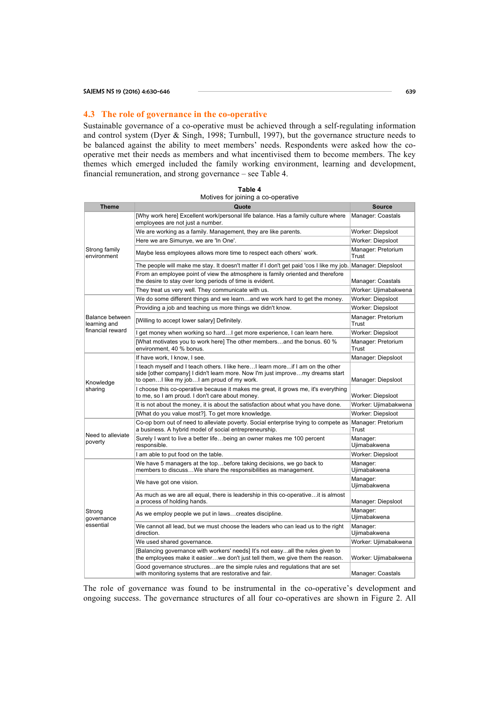# **4.3 The role of governance in the co-operative**

Sustainable governance of a co-operative must be achieved through a self-regulating information and control system (Dyer & Singh, 1998; Turnbull, 1997), but the governance structure needs to be balanced against the ability to meet members' needs. Respondents were asked how the cooperative met their needs as members and what incentivised them to become members. The key themes which emerged included the family working environment, learning and development, financial remuneration, and strong governance – see Table 4.

| Motives for joining a co-operative |                                                                                                                                                                                                                 |                             |  |
|------------------------------------|-----------------------------------------------------------------------------------------------------------------------------------------------------------------------------------------------------------------|-----------------------------|--|
| <b>Theme</b>                       | Quote                                                                                                                                                                                                           | Source                      |  |
|                                    | [Why work here] Excellent work/personal life balance. Has a family culture where<br>employees are not just a number.                                                                                            | Manager: Coastals           |  |
|                                    | We are working as a family. Management, they are like parents.                                                                                                                                                  | Worker: Diepsloot           |  |
|                                    | Here we are Simunye, we are 'In One'.                                                                                                                                                                           | Worker: Diepsloot           |  |
| Strong family<br>environment       | Maybe less employees allows more time to respect each others' work.                                                                                                                                             | Manager: Pretorium<br>Trust |  |
|                                    | The people will make me stay. It doesn't matter if I don't get paid 'cos I like my job. Manager: Diepsloot                                                                                                      |                             |  |
|                                    | From an employee point of view the atmosphere is family oriented and therefore<br>the desire to stay over long periods of time is evident.                                                                      | Manager: Coastals           |  |
|                                    | They treat us very well. They communicate with us.                                                                                                                                                              | Worker: Ujimabakwena        |  |
|                                    | We do some different things and we learnand we work hard to get the money.                                                                                                                                      | Worker: Diepsloot           |  |
|                                    | Providing a job and teaching us more things we didn't know.                                                                                                                                                     | Worker: Diepsloot           |  |
| Balance between<br>learning and    | [Willing to accept lower salary] Definitely.                                                                                                                                                                    | Manager: Pretorium<br>Trust |  |
| financial reward                   | I get money when working so hardI get more experience, I can learn here.                                                                                                                                        | Worker: Diepsloot           |  |
|                                    | [What motivates you to work here] The other membersand the bonus. 60 %<br>environment, 40 % bonus.                                                                                                              | Manager: Pretorium<br>Trust |  |
| Knowledge<br>sharing               | If have work, I know, I see.                                                                                                                                                                                    | Manager: Diepsloot          |  |
|                                    | I teach myself and I teach others. I like hereI learn moreif I am on the other<br>side [other company] I didn't learn more. Now I'm just improvemy dreams start<br>to open I like my job I am proud of my work. | Manager: Diepsloot          |  |
|                                    | I choose this co-operative because it makes me great, it grows me, it's everything<br>to me, so I am proud. I don't care about money.                                                                           | Worker: Diepsloot           |  |
|                                    | It is not about the money, it is about the satisfaction about what you have done.                                                                                                                               | Worker: Ujimabakwena        |  |
|                                    | [What do you value most?]. To get more knowledge.                                                                                                                                                               | Worker: Diepsloot           |  |
|                                    | Co-op born out of need to alleviate poverty. Social enterprise trying to compete as<br>a business. A hybrid model of social entrepreneurship.                                                                   | Manager: Pretorium<br>Trust |  |
| Need to alleviate<br>poverty       | Surely I want to live a better lifebeing an owner makes me 100 percent<br>responsible.                                                                                                                          | Manager:<br>Ujimabakwena    |  |
|                                    | I am able to put food on the table.                                                                                                                                                                             | Worker: Diepsloot           |  |
| Strong<br>governance<br>essential  | We have 5 managers at the topbefore taking decisions, we go back to<br>members to discussWe share the responsibilities as management.                                                                           | Manager:<br>Ujimabakwena    |  |
|                                    | We have got one vision.                                                                                                                                                                                         | Manager:<br>Ujimabakwena    |  |
|                                    | As much as we are all equal, there is leadership in this co-operativeit is almost<br>a process of holding hands.                                                                                                | Manager: Diepsloot          |  |
|                                    | As we employ people we put in lawscreates discipline.                                                                                                                                                           | Manager:<br>Ujimabakwena    |  |
|                                    | We cannot all lead, but we must choose the leaders who can lead us to the right<br>direction.                                                                                                                   | Manager:<br>Ujimabakwena    |  |
|                                    | We used shared governance.                                                                                                                                                                                      | Worker: Ujimabakwena        |  |
|                                    | [Balancing governance with workers' needs] It's not easyall the rules given to<br>the employees make it easierwe don't just tell them, we give them the reason.                                                 | Worker: Ujimabakwena        |  |
|                                    | Good governance structuresare the simple rules and regulations that are set<br>with monitoring systems that are restorative and fair.                                                                           | Manager: Coastals           |  |

**Table 4**

The role of governance was found to be instrumental in the co-operative's development and ongoing success. The governance structures of all four co-operatives are shown in Figure 2. All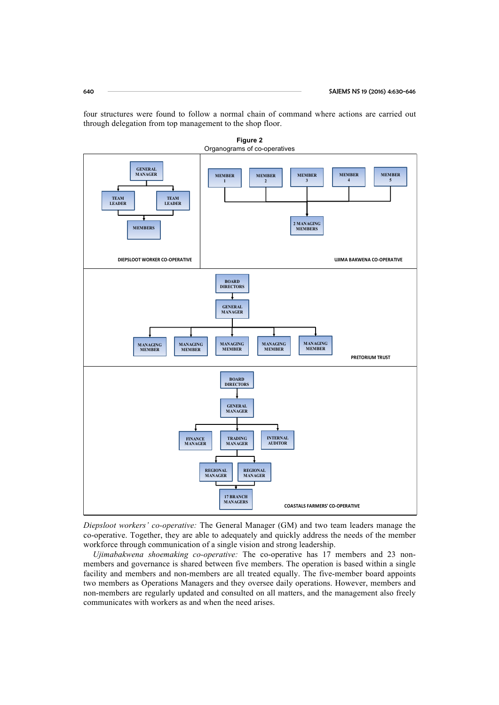four structures were found to follow a normal chain of command where actions are carried out through delegation from top management to the shop floor.



*Diepsloot workers' co-operative:* The General Manager (GM) and two team leaders manage the co-operative. Together, they are able to adequately and quickly address the needs of the member workforce through communication of a single vision and strong leadership.

*Ujimabakwena shoemaking co-operative:* The co-operative has 17 members and 23 nonmembers and governance is shared between five members. The operation is based within a single facility and members and non-members are all treated equally. The five-member board appoints two members as Operations Managers and they oversee daily operations. However, members and non-members are regularly updated and consulted on all matters, and the management also freely communicates with workers as and when the need arises.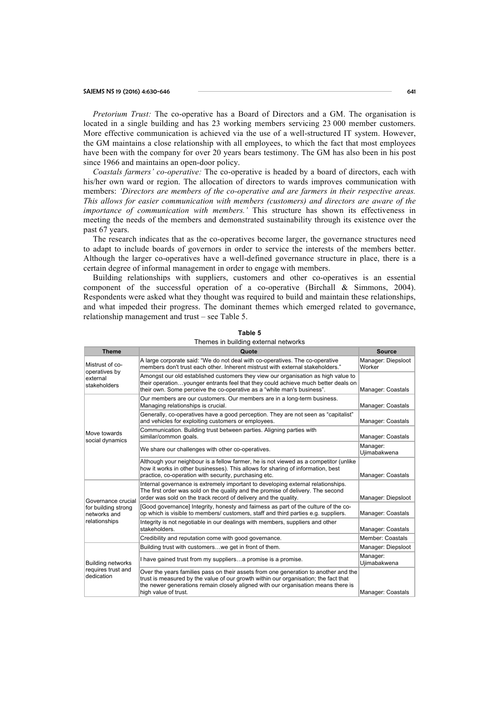#### SAJEMS NS 19 (2016) 4:630-646 **641 120 (2016)** 641

*Pretorium Trust:* The co-operative has a Board of Directors and a GM. The organisation is located in a single building and has 23 working members servicing 23 000 member customers. More effective communication is achieved via the use of a well-structured IT system. However, the GM maintains a close relationship with all employees, to which the fact that most employees have been with the company for over 20 years bears testimony. The GM has also been in his post since 1966 and maintains an open-door policy.

*Coastals farmers' co-operative:* The co-operative is headed by a board of directors, each with his/her own ward or region. The allocation of directors to wards improves communication with members: *'Directors are members of the co-operative and are farmers in their respective areas. This allows for easier communication with members (customers) and directors are aware of the importance of communication with members.'* This structure has shown its effectiveness in meeting the needs of the members and demonstrated sustainability through its existence over the past 67 years.

The research indicates that as the co-operatives become larger, the governance structures need to adapt to include boards of governors in order to service the interests of the members better. Although the larger co-operatives have a well-defined governance structure in place, there is a certain degree of informal management in order to engage with members.

Building relationships with suppliers, customers and other co-operatives is an essential component of the successful operation of a co-operative (Birchall & Simmons, 2004). Respondents were asked what they thought was required to build and maintain these relationships, and what impeded their progress. The dominant themes which emerged related to governance, relationship management and trust – see Table 5.

| <b>Theme</b>                                                               | Quote                                                                                                                                                                                                                                                                                   | <b>Source</b>                |
|----------------------------------------------------------------------------|-----------------------------------------------------------------------------------------------------------------------------------------------------------------------------------------------------------------------------------------------------------------------------------------|------------------------------|
| Mistrust of co-<br>operatives by<br>external<br>stakeholders               | A large corporate said: "We do not deal with co-operatives. The co-operative<br>members don't trust each other. Inherent mistrust with external stakeholders."                                                                                                                          | Manager: Diepsloot<br>Worker |
|                                                                            | Amongst our old established customers they view our organisation as high value to<br>their operationyounger entrants feel that they could achieve much better deals on<br>their own. Some perceive the co-operative as a "white man's business".                                        | Manager: Coastals            |
| Move towards<br>social dynamics                                            | Our members are our customers. Our members are in a long-term business.<br>Managing relationships is crucial.                                                                                                                                                                           | Manager: Coastals            |
|                                                                            | Generally, co-operatives have a good perception. They are not seen as "capitalist"<br>and vehicles for exploiting customers or employees.                                                                                                                                               | Manager: Coastals            |
|                                                                            | Communication. Building trust between parties. Aligning parties with<br>similar/common goals.                                                                                                                                                                                           | Manager: Coastals            |
|                                                                            | We share our challenges with other co-operatives.                                                                                                                                                                                                                                       | Manager:<br>Ujimabakwena     |
|                                                                            | Although your neighbour is a fellow farmer, he is not viewed as a competitor (unlike<br>how it works in other businesses). This allows for sharing of information, best<br>practice, co-operation with security, purchasing etc.                                                        | Manager: Coastals            |
| Governance crucial<br>for building strong<br>networks and<br>relationships | Internal governance is extremely important to developing external relationships.<br>The first order was sold on the quality and the promise of delivery. The second<br>order was sold on the track record of delivery and the quality.                                                  | Manager: Diepsloot           |
|                                                                            | [Good governance] Integrity, honesty and fairness as part of the culture of the co-<br>op which is visible to members/ customers, staff and third parties e.g. suppliers.                                                                                                               | Manager: Coastals            |
|                                                                            | Integrity is not negotiable in our dealings with members, suppliers and other<br>stakeholders.                                                                                                                                                                                          | Manager: Coastals            |
|                                                                            | Credibility and reputation come with good governance.                                                                                                                                                                                                                                   | Member: Coastals             |
|                                                                            | Building trust with customerswe get in front of them.                                                                                                                                                                                                                                   | Manager: Diepsloot           |
| <b>Building networks</b><br>requires trust and<br>dedication               | I have gained trust from my suppliersa promise is a promise.                                                                                                                                                                                                                            | Manager:<br>Ujimabakwena     |
|                                                                            | Over the years families pass on their assets from one generation to another and the<br>trust is measured by the value of our growth within our organisation; the fact that<br>the newer generations remain closely aligned with our organisation means there is<br>high value of trust. | Manager: Coastals            |

#### **Table 5** Themes in building external networks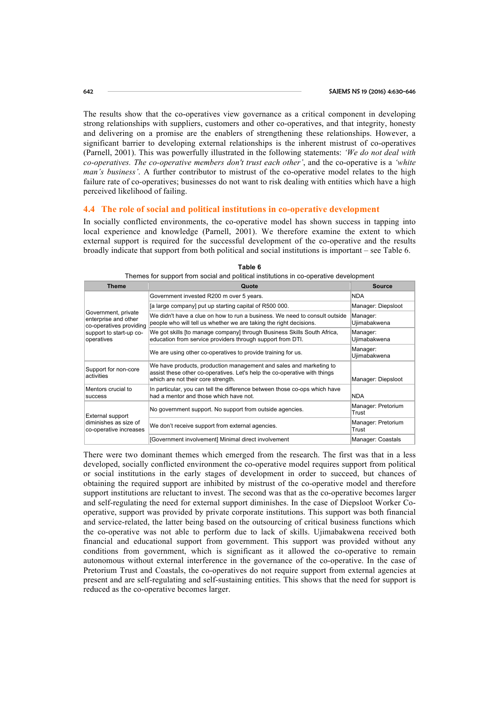The results show that the co-operatives view governance as a critical component in developing strong relationships with suppliers, customers and other co-operatives, and that integrity, honesty and delivering on a promise are the enablers of strengthening these relationships. However, a significant barrier to developing external relationships is the inherent mistrust of co-operatives (Parnell, 2001). This was powerfully illustrated in the following statements: *'We do not deal with co-operatives. The co-operative members don't trust each other'*, and the co-operative is a *'white man's business'*. A further contributor to mistrust of the co-operative model relates to the high failure rate of co-operatives; businesses do not want to risk dealing with entities which have a high perceived likelihood of failing.

#### **4.4 The role of social and political institutions in co-operative development**

In socially conflicted environments, the co-operative model has shown success in tapping into local experience and knowledge (Parnell, 2001). We therefore examine the extent to which external support is required for the successful development of the co-operative and the results broadly indicate that support from both political and social institutions is important – see Table 6.

| <b>Theme</b>                                                                                                    | Quote                                                                                                                                                                                 | <b>Source</b>               |
|-----------------------------------------------------------------------------------------------------------------|---------------------------------------------------------------------------------------------------------------------------------------------------------------------------------------|-----------------------------|
| Government, private<br>enterprise and other<br>co-operatives providing<br>support to start-up co-<br>operatives | Government invested R200 m over 5 years.                                                                                                                                              | <b>NDA</b>                  |
|                                                                                                                 | [a large company] put up starting capital of R500 000.                                                                                                                                | Manager: Diepsloot          |
|                                                                                                                 | We didn't have a clue on how to run a business. We need to consult outside<br>people who will tell us whether we are taking the right decisions.                                      | Manager:<br>Ujimabakwena    |
|                                                                                                                 | We got skills [to manage company] through Business Skills South Africa,<br>education from service providers through support from DTI.                                                 | Manager:<br>Ujimabakwena    |
|                                                                                                                 | We are using other co-operatives to provide training for us.                                                                                                                          | Manager:<br>Ujimabakwena    |
| Support for non-core<br>activities                                                                              | We have products, production management and sales and marketing to<br>assist these other co-operatives. Let's help the co-operative with things<br>which are not their core strength. | Manager: Diepsloot          |
| Mentors crucial to<br><b>SUCCESS</b>                                                                            | In particular, you can tell the difference between those co-ops which have<br>had a mentor and those which have not.                                                                  | <b>NDA</b>                  |
| External support<br>diminishes as size of<br>co-operative increases                                             | No government support. No support from outside agencies.                                                                                                                              | Manager: Pretorium<br>Trust |
|                                                                                                                 | We don't receive support from external agencies.                                                                                                                                      | Manager: Pretorium<br>Trust |
|                                                                                                                 | [Government involvement] Minimal direct involvement                                                                                                                                   | Manager: Coastals           |

**Table 6** Themes for support from social and political institutions in co-operative development

There were two dominant themes which emerged from the research. The first was that in a less developed, socially conflicted environment the co-operative model requires support from political or social institutions in the early stages of development in order to succeed, but chances of obtaining the required support are inhibited by mistrust of the co-operative model and therefore support institutions are reluctant to invest. The second was that as the co-operative becomes larger and self-regulating the need for external support diminishes. In the case of Diepsloot Worker Cooperative, support was provided by private corporate institutions. This support was both financial and service-related, the latter being based on the outsourcing of critical business functions which the co-operative was not able to perform due to lack of skills. Ujimabakwena received both financial and educational support from government. This support was provided without any conditions from government, which is significant as it allowed the co-operative to remain autonomous without external interference in the governance of the co-operative. In the case of Pretorium Trust and Coastals, the co-operatives do not require support from external agencies at present and are self-regulating and self-sustaining entities. This shows that the need for support is reduced as the co-operative becomes larger.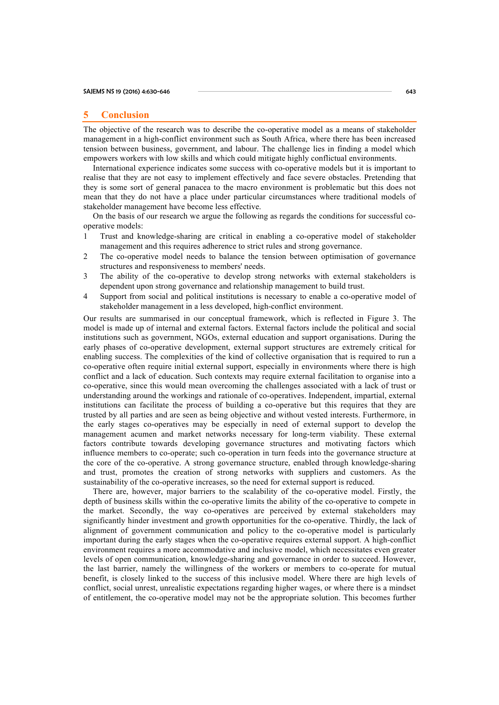# **5 Conclusion**

The objective of the research was to describe the co-operative model as a means of stakeholder management in a high-conflict environment such as South Africa, where there has been increased tension between business, government, and labour. The challenge lies in finding a model which empowers workers with low skills and which could mitigate highly conflictual environments.

International experience indicates some success with co-operative models but it is important to realise that they are not easy to implement effectively and face severe obstacles. Pretending that they is some sort of general panacea to the macro environment is problematic but this does not mean that they do not have a place under particular circumstances where traditional models of stakeholder management have become less effective.

On the basis of our research we argue the following as regards the conditions for successful cooperative models:

- 1 Trust and knowledge-sharing are critical in enabling a co-operative model of stakeholder management and this requires adherence to strict rules and strong governance.
- 2 The co-operative model needs to balance the tension between optimisation of governance structures and responsiveness to members' needs.
- 3 The ability of the co-operative to develop strong networks with external stakeholders is dependent upon strong governance and relationship management to build trust.
- 4 Support from social and political institutions is necessary to enable a co-operative model of stakeholder management in a less developed, high-conflict environment.

Our results are summarised in our conceptual framework, which is reflected in Figure 3. The model is made up of internal and external factors. External factors include the political and social institutions such as government, NGOs, external education and support organisations. During the early phases of co-operative development, external support structures are extremely critical for enabling success. The complexities of the kind of collective organisation that is required to run a co-operative often require initial external support, especially in environments where there is high conflict and a lack of education. Such contexts may require external facilitation to organise into a co-operative, since this would mean overcoming the challenges associated with a lack of trust or understanding around the workings and rationale of co-operatives. Independent, impartial, external institutions can facilitate the process of building a co-operative but this requires that they are trusted by all parties and are seen as being objective and without vested interests. Furthermore, in the early stages co-operatives may be especially in need of external support to develop the management acumen and market networks necessary for long-term viability. These external factors contribute towards developing governance structures and motivating factors which influence members to co-operate; such co-operation in turn feeds into the governance structure at the core of the co-operative. A strong governance structure, enabled through knowledge-sharing and trust, promotes the creation of strong networks with suppliers and customers. As the sustainability of the co-operative increases, so the need for external support is reduced.

There are, however, major barriers to the scalability of the co-operative model. Firstly, the depth of business skills within the co-operative limits the ability of the co-operative to compete in the market. Secondly, the way co-operatives are perceived by external stakeholders may significantly hinder investment and growth opportunities for the co-operative. Thirdly, the lack of alignment of government communication and policy to the co-operative model is particularly important during the early stages when the co-operative requires external support. A high-conflict environment requires a more accommodative and inclusive model, which necessitates even greater levels of open communication, knowledge-sharing and governance in order to succeed. However, the last barrier, namely the willingness of the workers or members to co-operate for mutual benefit, is closely linked to the success of this inclusive model. Where there are high levels of conflict, social unrest, unrealistic expectations regarding higher wages, or where there is a mindset of entitlement, the co-operative model may not be the appropriate solution. This becomes further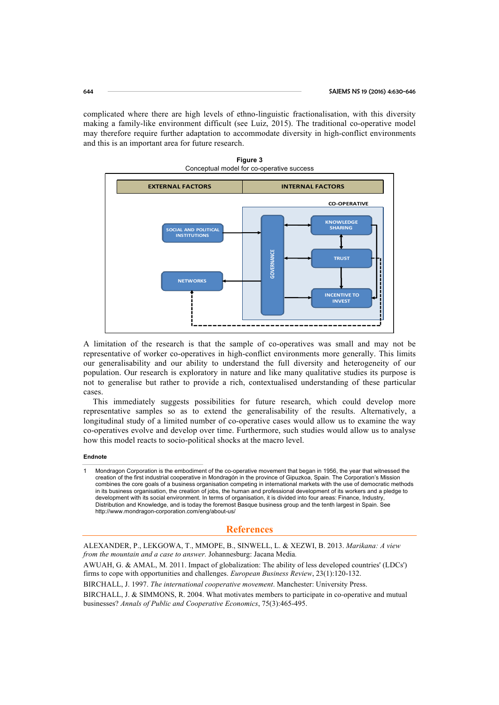complicated where there are high levels of ethno-linguistic fractionalisation, with this diversity making a family-like environment difficult (see Luiz, 2015). The traditional co-operative model may therefore require further adaptation to accommodate diversity in high-conflict environments and this is an important area for future research.



A limitation of the research is that the sample of co-operatives was small and may not be representative of worker co-operatives in high-conflict environments more generally. This limits our generalisability and our ability to understand the full diversity and heterogeneity of our population. Our research is exploratory in nature and like many qualitative studies its purpose is not to generalise but rather to provide a rich, contextualised understanding of these particular cases.

This immediately suggests possibilities for future research, which could develop more representative samples so as to extend the generalisability of the results. Alternatively, a longitudinal study of a limited number of co-operative cases would allow us to examine the way co-operatives evolve and develop over time. Furthermore, such studies would allow us to analyse how this model reacts to socio-political shocks at the macro level.

#### **Endnote**

1 Mondragon Corporation is the embodiment of the co-operative movement that began in 1956, the year that witnessed the creation of the first industrial cooperative in Mondragón in the province of Gipuzkoa, Spain. The Corporation's Mission combines the core goals of a business organisation competing in international markets with the use of democratic methods in its business organisation, the creation of jobs, the human and professional development of its workers and a pledge to development with its social environment. In terms of organisation, it is divided into four areas: Finance, Industry, Distribution and Knowledge, and is today the foremost Basque business group and the tenth largest in Spain. See http://www.mondragon-corporation.com/eng/about-us/

#### **References**

ALEXANDER, P., LEKGOWA, T., MMOPE, B., SINWELL, L. & XEZWI, B. 2013. *Marikana: A view from the mountain and a case to answer.* Johannesburg: Jacana Media*.*

AWUAH, G. & AMAL, M. 2011. Impact of globalization: The ability of less developed countries' (LDCs') firms to cope with opportunities and challenges. *European Business Review*, 23(1):120-132.

BIRCHALL, J. 1997. *The international cooperative movement*. Manchester: University Press.

BIRCHALL, J. & SIMMONS, R. 2004. What motivates members to participate in co-operative and mutual businesses? *Annals of Public and Cooperative Economics*, 75(3):465-495.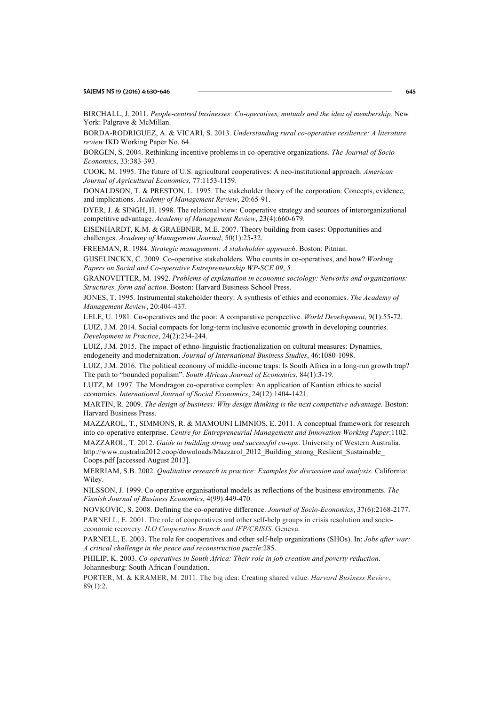#### SAJEMS NS 19 (2016) 4:630-646 **622 (2016)** 645

BIRCHALL, J. 2011. *People-centred businesses: Co-operatives, mutuals and the idea of membership.* New York: Palgrave & McMillan.

BORDA-RODRIGUEZ, A. & VICARI, S. 2013. *Understanding rural co-operative resilience: A literature review* IKD Working Paper No. 64.

BORGEN, S. 2004. Rethinking incentive problems in co-operative organizations. *The Journal of Socio-Economics*, 33:383-393.

COOK, M. 1995. The future of U.S. agricultural cooperatives: A neo-institutional approach. *American Journal of Agricultural Economics*, 77:1153-1159.

DONALDSON, T. & PRESTON, L. 1995. The stakeholder theory of the corporation: Concepts, evidence, and implications. *Academy of Management Review*, 20:65-91.

DYER, J. & SINGH, H. 1998. The relational view: Cooperative strategy and sources of interorganizational competitive advantage. *Academy of Management Review*, 23(4):660-679.

EISENHARDT, K.M. & GRAEBNER, M.E. 2007. Theory building from cases: Opportunities and challenges. *Academy of Management Journal*, 50(1):25-32.

FREEMAN, R. 1984. *Strategic management: A stakeholder approach*. Boston: Pitman.

GIJSELINCKX, C. 2009. Co-operative stakeholders. Who counts in co-operatives, and how? *Working Papers on Social and Co-operative Entrepreneurship WP-SCE 09*, *5.*

GRANOVETTER, M. 1992. *Problems of explanation in economic sociology: Networks and organizations: Structures, form and action*. Boston: Harvard Business School Press.

JONES, T. 1995. Instrumental stakeholder theory: A synthesis of ethics and economics. *The Academy of Management Review*, 20:404-437.

LELE, U. 1981. Co-operatives and the poor: A comparative perspective. *World Development*, 9(1):55-72. LUIZ, J.M. 2014. Social compacts for long-term inclusive economic growth in developing countries. *Development in Practice*, 24(2):234-244.

LUIZ, J.M. 2015. The impact of ethno-linguistic fractionalization on cultural measures: Dynamics, endogeneity and modernization. *Journal of International Business Studies*, 46:1080-1098.

LUIZ, J.M. 2016. The political economy of middle-income traps: Is South Africa in a long-run growth trap? The path to "bounded populism". *South African Journal of Economics*, 84(1):3-19.

LUTZ, M. 1997. The Mondragon co-operative complex: An application of Kantian ethics to social economics. *International Journal of Social Economics*, 24(12):1404-1421.

MARTIN, R. 2009. *The design of business: Why design thinking is the next competitive advantage.* Boston: Harvard Business Press.

MAZZAROL, T., SIMMONS, R. & MAMOUNI LIMNIOS, E. 2011. A conceptual framework for research into co-operative enterprise. *Centre for Entrepreneurial Management and Innovation Working Paper*:1102. MAZZAROL, T. 2012. *Guide to building strong and successful co-ops*. University of Western Australia.

http://www.australia2012.coop/downloads/Mazzarol\_2012\_Building\_strong\_Reslient\_Sustainable\_ Coops.pdf [accessed August 2013].

MERRIAM, S.B. 2002. *Qualitative research in practice: Examples for discussion and analysis*. California: Wiley.

NILSSON, J. 1999. Co-operative organisational models as reflections of the business environments. *The Finnish Journal of Business Economics*, 4(99):449-470.

NOVKOVIC, S. 2008. Defining the co-operative difference. *Journal of Socio-Economics*, 37(6):2168-2177. PARNELL, E. 2001. The role of cooperatives and other self-help groups in crisis resolution and socioeconomic recovery. *ILO Cooperative Branch and IFP/CRISIS*. Geneva.

PARNELL, E. 2003. The role for cooperatives and other self-help organizations (SHOs). In: *Jobs after war: A critical challenge in the peace and reconstruction puzzle*:285.

PHILIP, K. 2003. *Co-operatives in South Africa: Their role in job creation and poverty reduction*. Johannesburg: South African Foundation.

PORTER, M. & KRAMER, M. 2011. The big idea: Creating shared value. *Harvard Business Review*, 89(1):2.